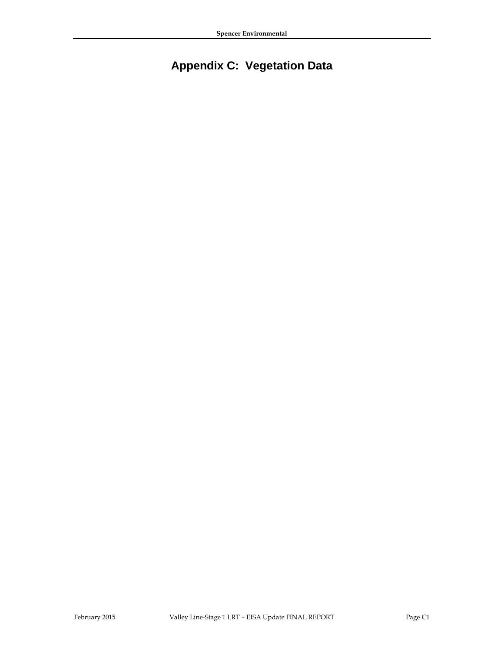## **Appendix C: Vegetation Data**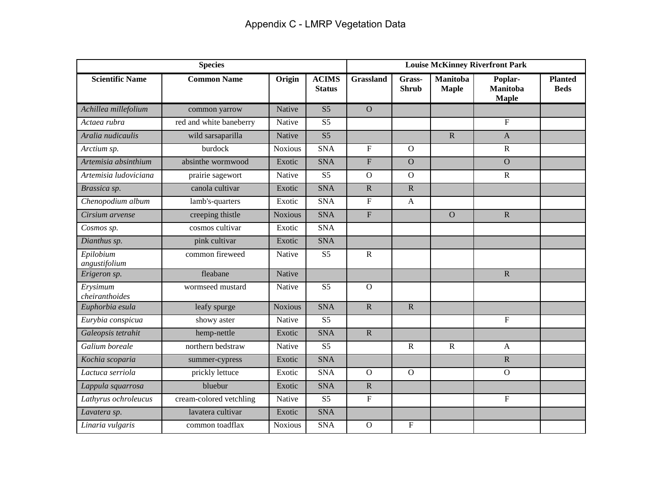| <b>Species</b>             |                         |                |                               | <b>Louise McKinney Riverfront Park</b> |                        |                                 |                                            |                               |
|----------------------------|-------------------------|----------------|-------------------------------|----------------------------------------|------------------------|---------------------------------|--------------------------------------------|-------------------------------|
| <b>Scientific Name</b>     | <b>Common Name</b>      | Origin         | <b>ACIMS</b><br><b>Status</b> | <b>Grassland</b>                       | Grass-<br><b>Shrub</b> | <b>Manitoba</b><br><b>Maple</b> | Poplar-<br><b>Manitoba</b><br><b>Maple</b> | <b>Planted</b><br><b>Beds</b> |
| Achillea millefolium       | common yarrow           | Native         | S <sub>5</sub>                | $\overline{O}$                         |                        |                                 |                                            |                               |
| Actaea rubra               | red and white baneberry | Native         | S <sub>5</sub>                |                                        |                        |                                 | $\overline{F}$                             |                               |
| Aralia nudicaulis          | wild sarsaparilla       | Native         | S <sub>5</sub>                |                                        |                        | $\mathbf R$                     | $\mathbf{A}$                               |                               |
| Arctium sp.                | burdock                 | <b>Noxious</b> | <b>SNA</b>                    | $\mathbf F$                            | $\overline{O}$         |                                 | $\mathbf R$                                |                               |
| Artemisia absinthium       | absinthe wormwood       | Exotic         | <b>SNA</b>                    | $\overline{\mathrm{F}}$                | $\overline{O}$         |                                 | $\overline{O}$                             |                               |
| Artemisia ludoviciana      | prairie sagewort        | Native         | S <sub>5</sub>                | $\mathcal{O}$                          | $\overline{O}$         |                                 | ${\bf R}$                                  |                               |
| Brassica sp.               | canola cultivar         | Exotic         | <b>SNA</b>                    | $\mathbf R$                            | $\overline{R}$         |                                 |                                            |                               |
| Chenopodium album          | lamb's-quarters         | Exotic         | <b>SNA</b>                    | F                                      | $\mathbf{A}$           |                                 |                                            |                               |
| Cirsium arvense            | creeping thistle        | <b>Noxious</b> | <b>SNA</b>                    | $\overline{F}$                         |                        | $\overline{O}$                  | $\mathbf R$                                |                               |
| Cosmos sp.                 | cosmos cultivar         | Exotic         | <b>SNA</b>                    |                                        |                        |                                 |                                            |                               |
| Dianthus sp.               | pink cultivar           | Exotic         | <b>SNA</b>                    |                                        |                        |                                 |                                            |                               |
| Epilobium<br>angustifolium | common fireweed         | Native         | S <sub>5</sub>                | $\mathbf R$                            |                        |                                 |                                            |                               |
| Erigeron sp.               | fleabane                | Native         |                               |                                        |                        |                                 | $\mathbf R$                                |                               |
| Erysimum<br>cheiranthoides | wormseed mustard        | Native         | S <sub>5</sub>                | $\mathbf{O}$                           |                        |                                 |                                            |                               |
| Euphorbia esula            | leafy spurge            | <b>Noxious</b> | <b>SNA</b>                    | $\mathbf R$                            | $\mathbf R$            |                                 |                                            |                               |
| Eurybia conspicua          | showy aster             | Native         | S <sub>5</sub>                |                                        |                        |                                 | ${\bf F}$                                  |                               |
| Galeopsis tetrahit         | hemp-nettle             | Exotic         | <b>SNA</b>                    | $\overline{R}$                         |                        |                                 |                                            |                               |
| Galium boreale             | northern bedstraw       | Native         | S <sub>5</sub>                |                                        | $\mathbf R$            | $\mathbf R$                     | $\mathsf{A}$                               |                               |
| Kochia scoparia            | summer-cypress          | Exotic         | <b>SNA</b>                    |                                        |                        |                                 | $\mathbf R$                                |                               |
| Lactuca serriola           | prickly lettuce         | Exotic         | <b>SNA</b>                    | $\mathbf{O}$                           | $\mathbf{O}$           |                                 | $\mathbf{O}$                               |                               |
| Lappula squarrosa          | bluebur                 | Exotic         | <b>SNA</b>                    | $\mathbf R$                            |                        |                                 |                                            |                               |
| Lathyrus ochroleucus       | cream-colored vetchling | Native         | S <sub>5</sub>                | $\overline{F}$                         |                        |                                 | ${\bf F}$                                  |                               |
| Lavatera sp.               | lavatera cultivar       | Exotic         | <b>SNA</b>                    |                                        |                        |                                 |                                            |                               |
| Linaria vulgaris           | common toadflax         | <b>Noxious</b> | <b>SNA</b>                    | $\mathbf{O}$                           | $\mathbf F$            |                                 |                                            |                               |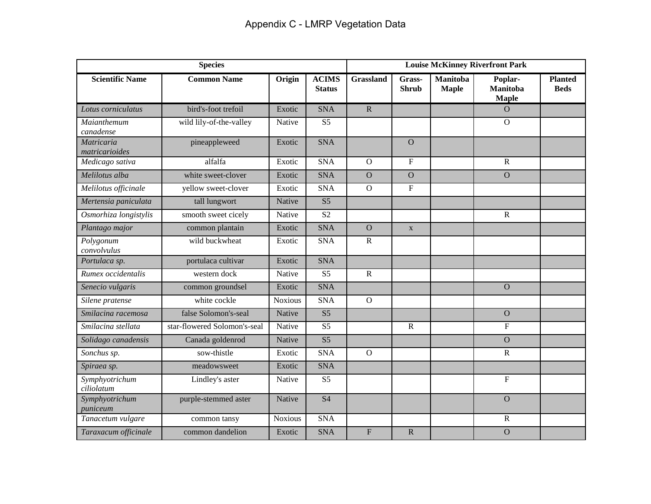| <b>Species</b>               |                              |                |                               | <b>Louise McKinney Riverfront Park</b> |                         |                                 |                                            |                               |
|------------------------------|------------------------------|----------------|-------------------------------|----------------------------------------|-------------------------|---------------------------------|--------------------------------------------|-------------------------------|
| <b>Scientific Name</b>       | <b>Common Name</b>           | Origin         | <b>ACIMS</b><br><b>Status</b> | <b>Grassland</b>                       | Grass-<br><b>Shrub</b>  | <b>Manitoba</b><br><b>Maple</b> | Poplar-<br><b>Manitoba</b><br><b>Maple</b> | <b>Planted</b><br><b>Beds</b> |
| Lotus corniculatus           | bird's-foot trefoil          | Exotic         | <b>SNA</b>                    | $\mathbf R$                            |                         |                                 | $\overline{O}$                             |                               |
| Maianthemum<br>canadense     | wild lily-of-the-valley      | Native         | S <sub>5</sub>                |                                        |                         |                                 | $\overline{O}$                             |                               |
| Matricaria<br>matricarioides | pineappleweed                | Exotic         | <b>SNA</b>                    |                                        | $\Omega$                |                                 |                                            |                               |
| Medicago sativa              | alfalfa                      | Exotic         | <b>SNA</b>                    | $\mathbf{O}$                           | $\mathbf F$             |                                 | ${\bf R}$                                  |                               |
| Melilotus alba               | white sweet-clover           | Exotic         | <b>SNA</b>                    | $\overline{O}$                         | $\overline{O}$          |                                 | $\overline{O}$                             |                               |
| Melilotus officinale         | yellow sweet-clover          | Exotic         | <b>SNA</b>                    | $\overline{O}$                         | $\overline{\mathrm{F}}$ |                                 |                                            |                               |
| Mertensia paniculata         | tall lungwort                | Native         | S <sub>5</sub>                |                                        |                         |                                 |                                            |                               |
| Osmorhiza longistylis        | smooth sweet cicely          | Native         | S <sub>2</sub>                |                                        |                         |                                 | $\overline{R}$                             |                               |
| Plantago major               | common plantain              | Exotic         | <b>SNA</b>                    | $\overline{O}$                         | $\mathbf{X}$            |                                 |                                            |                               |
| Polygonum<br>convolvulus     | wild buckwheat               | Exotic         | <b>SNA</b>                    | $\mathbf{R}$                           |                         |                                 |                                            |                               |
| Portulaca sp.                | portulaca cultivar           | Exotic         | <b>SNA</b>                    |                                        |                         |                                 |                                            |                               |
| Rumex occidentalis           | western dock                 | Native         | S <sub>5</sub>                | $\mathbf R$                            |                         |                                 |                                            |                               |
| Senecio vulgaris             | common groundsel             | Exotic         | <b>SNA</b>                    |                                        |                         |                                 | $\overline{O}$                             |                               |
| Silene pratense              | white cockle                 | <b>Noxious</b> | <b>SNA</b>                    | $\mathbf{O}$                           |                         |                                 |                                            |                               |
| Smilacina racemosa           | false Solomon's-seal         | Native         | S <sub>5</sub>                |                                        |                         |                                 | $\overline{O}$                             |                               |
| Smilacina stellata           | star-flowered Solomon's-seal | Native         | S <sub>5</sub>                |                                        | $\mathbf R$             |                                 | F                                          |                               |
| Solidago canadensis          | Canada goldenrod             | Native         | S <sub>5</sub>                |                                        |                         |                                 | $\mathbf O$                                |                               |
| Sonchus sp.                  | sow-thistle                  | Exotic         | <b>SNA</b>                    | $\overline{O}$                         |                         |                                 | $\mathbf R$                                |                               |
| Spiraea sp.                  | meadowsweet                  | Exotic         | <b>SNA</b>                    |                                        |                         |                                 |                                            |                               |
| Symphyotrichum<br>ciliolatum | Lindley's aster              | Native         | S <sub>5</sub>                |                                        |                         |                                 | $\boldsymbol{\mathrm{F}}$                  |                               |
| Symphyotrichum<br>puniceum   | purple-stemmed aster         | Native         | <b>S4</b>                     |                                        |                         |                                 | $\overline{O}$                             |                               |
| Tanacetum vulgare            | common tansy                 | <b>Noxious</b> | <b>SNA</b>                    |                                        |                         |                                 | ${\bf R}$                                  |                               |
| Taraxacum officinale         | common dandelion             | Exotic         | <b>SNA</b>                    | $\overline{F}$                         | $\mathbf R$             |                                 | $\overline{O}$                             |                               |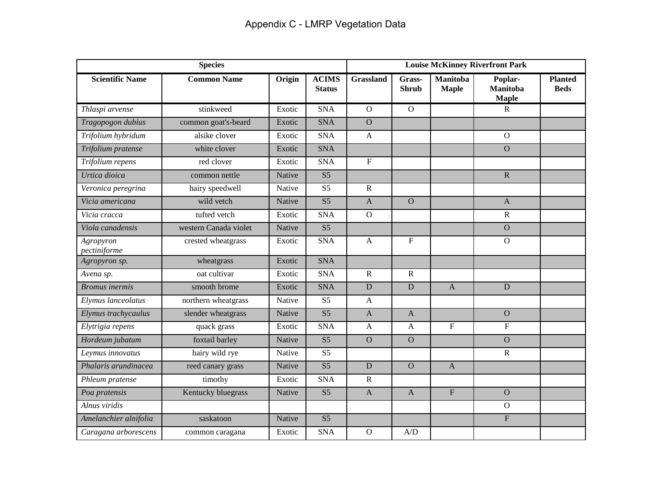| <b>Species</b>            |                       |        |                               | <b>Louise McKinney Riverfront Park</b> |                        |                                 |                                            |                               |
|---------------------------|-----------------------|--------|-------------------------------|----------------------------------------|------------------------|---------------------------------|--------------------------------------------|-------------------------------|
| <b>Scientific Name</b>    | <b>Common Name</b>    | Origin | <b>ACIMS</b><br><b>Status</b> | <b>Grassland</b>                       | Grass-<br><b>Shrub</b> | <b>Manitoba</b><br><b>Maple</b> | Poplar-<br><b>Manitoba</b><br><b>Maple</b> | <b>Planted</b><br><b>Beds</b> |
| Thlaspi arvense           | stinkweed             | Exotic | <b>SNA</b>                    | $\mathbf{O}$                           | $\mathbf{O}$           |                                 | ${\bf R}$                                  |                               |
| Tragopogon dubius         | common goat's-beard   | Exotic | <b>SNA</b>                    | $\overline{O}$                         |                        |                                 |                                            |                               |
| Trifolium hybridum        | alsike clover         | Exotic | <b>SNA</b>                    | $\mathbf{A}$                           |                        |                                 | $\overline{O}$                             |                               |
| Trifolium pratense        | white clover          | Exotic | <b>SNA</b>                    |                                        |                        |                                 | $\overline{O}$                             |                               |
| Trifolium repens          | red clover            | Exotic | <b>SNA</b>                    | $\mathbf F$                            |                        |                                 |                                            |                               |
| Urtica dioica             | common nettle         | Native | S <sub>5</sub>                |                                        |                        |                                 | $\overline{\mathbf{R}}$                    |                               |
| Veronica peregrina        | hairy speedwell       | Native | S <sub>5</sub>                | $\mathbf R$                            |                        |                                 |                                            |                               |
| Vicia americana           | wild vetch            | Native | S <sub>5</sub>                | $\mathbf{A}$                           | $\overline{O}$         |                                 | $\boldsymbol{\rm{A}}$                      |                               |
| Vicia cracca              | tufted vetch          | Exotic | <b>SNA</b>                    | $\mathbf{O}$                           |                        |                                 | $\mathbf R$                                |                               |
| Viola canadensis          | western Canada violet | Native | S <sub>5</sub>                |                                        |                        |                                 | $\mathbf O$                                |                               |
| Agropyron<br>pectiniforme | crested wheatgrass    | Exotic | <b>SNA</b>                    | $\mathbf{A}$                           | $\mathbf F$            |                                 | $\mathbf{O}$                               |                               |
| Agropyron sp.             | wheatgrass            | Exotic | <b>SNA</b>                    |                                        |                        |                                 |                                            |                               |
| Avena sp.                 | oat cultivar          | Exotic | <b>SNA</b>                    | $\mathbf R$                            | $\mathbf R$            |                                 |                                            |                               |
| <b>Bromus</b> inermis     | smooth brome          | Exotic | <b>SNA</b>                    | $\mathbf D$                            | D                      | $\mathbf{A}$                    | D                                          |                               |
| Elymus lanceolatus        | northern wheatgrass   | Native | S <sub>5</sub>                | $\mathbf{A}$                           |                        |                                 |                                            |                               |
| Elymus trachycaulus       | slender wheatgrass    | Native | $\overline{S5}$               | $\mathbf{A}$                           | $\mathbf{A}$           |                                 | $\overline{O}$                             |                               |
| Elytrigia repens          | quack grass           | Exotic | <b>SNA</b>                    | $\mathbf{A}$                           | $\mathbf{A}$           | $\overline{F}$                  | $\overline{F}$                             |                               |
| Hordeum jubatum           | foxtail barley        | Native | S <sub>5</sub>                | $\overline{O}$                         | $\overline{O}$         |                                 | $\overline{O}$                             |                               |
| Leymus innovatus          | hairy wild rye        | Native | $\overline{S5}$               |                                        |                        |                                 | $\mathbf R$                                |                               |
| Phalaris arundinacea      | reed canary grass     | Native | S <sub>5</sub>                | $\mathbf D$                            | $\overline{O}$         | $\mathbf{A}$                    |                                            |                               |
| Phleum pratense           | timothy               | Exotic | <b>SNA</b>                    | $\mathbf R$                            |                        |                                 |                                            |                               |
| Poa pratensis             | Kentucky bluegrass    | Native | S <sub>5</sub>                | $\mathbf{A}$                           | $\mathbf{A}$           | ${\bf F}$                       | $\mathbf O$                                |                               |
| Alnus viridis             |                       |        |                               |                                        |                        |                                 | $\overline{O}$                             |                               |
| Amelanchier alnifolia     | saskatoon             | Native | $\overline{S5}$               |                                        |                        |                                 | $\overline{F}$                             |                               |
| Caragana arborescens      | common caragana       | Exotic | <b>SNA</b>                    | $\mathbf{O}$                           | A/D                    |                                 |                                            |                               |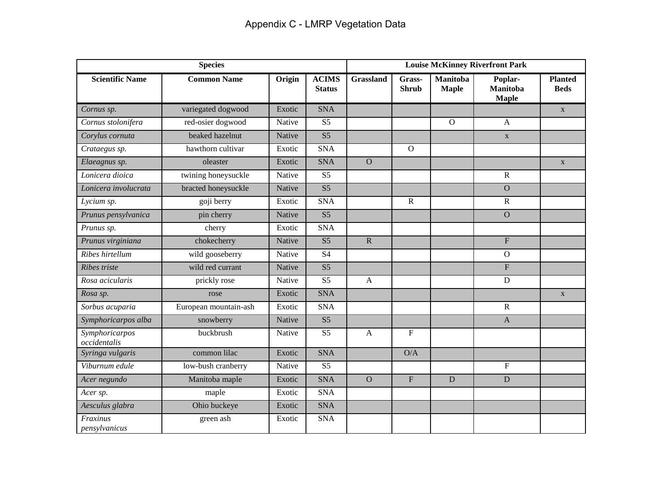| <b>Species</b>                 |                       |        |                               | <b>Louise McKinney Riverfront Park</b> |                        |                                 |                                            |                               |
|--------------------------------|-----------------------|--------|-------------------------------|----------------------------------------|------------------------|---------------------------------|--------------------------------------------|-------------------------------|
| <b>Scientific Name</b>         | <b>Common Name</b>    | Origin | <b>ACIMS</b><br><b>Status</b> | <b>Grassland</b>                       | Grass-<br><b>Shrub</b> | <b>Manitoba</b><br><b>Maple</b> | Poplar-<br><b>Manitoba</b><br><b>Maple</b> | <b>Planted</b><br><b>Beds</b> |
| Cornus sp.                     | variegated dogwood    | Exotic | <b>SNA</b>                    |                                        |                        |                                 |                                            | $\mathbf{X}$                  |
| Cornus stolonifera             | red-osier dogwood     | Native | S <sub>5</sub>                |                                        |                        | $\overline{O}$                  | $\mathbf{A}$                               |                               |
| Corylus cornuta                | beaked hazelnut       | Native | S <sub>5</sub>                |                                        |                        |                                 | $\mathbf X$                                |                               |
| Crataegus sp.                  | hawthorn cultivar     | Exotic | <b>SNA</b>                    |                                        | $\overline{O}$         |                                 |                                            |                               |
| Elaeagnus sp.                  | oleaster              | Exotic | <b>SNA</b>                    | $\overline{O}$                         |                        |                                 |                                            | $\mathbf{X}$                  |
| Lonicera dioica                | twining honeysuckle   | Native | S <sub>5</sub>                |                                        |                        |                                 | $\mathbf R$                                |                               |
| Lonicera involucrata           | bracted honeysuckle   | Native | S <sub>5</sub>                |                                        |                        |                                 | $\overline{O}$                             |                               |
| Lycium sp.                     | goji berry            | Exotic | <b>SNA</b>                    |                                        | ${\bf R}$              |                                 | $\mathbf R$                                |                               |
| Prunus pensylvanica            | pin cherry            | Native | S <sub>5</sub>                |                                        |                        |                                 | $\overline{O}$                             |                               |
| Prunus sp.                     | cherry                | Exotic | <b>SNA</b>                    |                                        |                        |                                 |                                            |                               |
| Prunus virginiana              | chokecherry           | Native | S <sub>5</sub>                | $\mathbf R$                            |                        |                                 | $\overline{\mathrm{F}}$                    |                               |
| Ribes hirtellum                | wild gooseberry       | Native | <b>S4</b>                     |                                        |                        |                                 | $\overline{O}$                             |                               |
| Ribes triste                   | wild red currant      | Native | S <sub>5</sub>                |                                        |                        |                                 | $\overline{F}$                             |                               |
| Rosa acicularis                | prickly rose          | Native | S <sub>5</sub>                | $\mathbf{A}$                           |                        |                                 | ${\bf D}$                                  |                               |
| Rosa sp.                       | rose                  | Exotic | <b>SNA</b>                    |                                        |                        |                                 |                                            | $\mathbf{X}$                  |
| Sorbus acuparia                | European mountain-ash | Exotic | <b>SNA</b>                    |                                        |                        |                                 | $\mathbf R$                                |                               |
| Symphoricarpos alba            | snowberry             | Native | S <sub>5</sub>                |                                        |                        |                                 | $\mathbf{A}$                               |                               |
| Symphoricarpos<br>occidentalis | buckbrush             | Native | S <sub>5</sub>                | $\mathbf{A}$                           | $\overline{F}$         |                                 |                                            |                               |
| Syringa vulgaris               | common lilac          | Exotic | <b>SNA</b>                    |                                        | O/A                    |                                 |                                            |                               |
| Viburnum edule                 | low-bush cranberry    | Native | S <sub>5</sub>                |                                        |                        |                                 | ${\bf F}$                                  |                               |
| Acer negundo                   | Manitoba maple        | Exotic | <b>SNA</b>                    | $\overline{O}$                         | ${\bf F}$              | D                               | $\mathbf D$                                |                               |
| Acer sp.                       | maple                 | Exotic | <b>SNA</b>                    |                                        |                        |                                 |                                            |                               |
| Aesculus glabra                | Ohio buckeye          | Exotic | <b>SNA</b>                    |                                        |                        |                                 |                                            |                               |
| Fraxinus<br>pensylvanicus      | green ash             | Exotic | <b>SNA</b>                    |                                        |                        |                                 |                                            |                               |